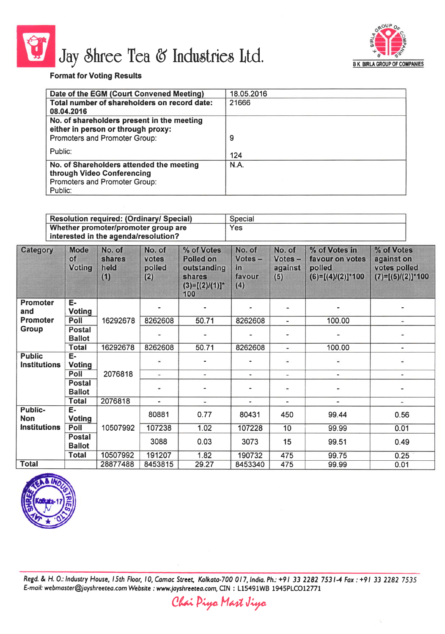

## Jay Shree Tea & Industries Ltd. EX BIRLA GROUP OF COMPANIES



X

## Format for Voting Results

| Date of the EGM (Court Convened Meeting)     | 18.05.2016 |
|----------------------------------------------|------------|
| Total number of shareholders on record date: | 21666      |
| 08.04.2016                                   |            |
| No. of shareholders present in the meeting   |            |
| either in person or through proxy:           |            |
| Promoters and Promoter Group:                | 9          |
|                                              |            |
| Public:                                      | 124        |
| No. of Shareholders attended the meeting     | N.A.       |
| through Video Conferencing                   |            |
| Promoters and Promoter Group:                |            |
| Public:                                      |            |
|                                              |            |

| <b>Resolution required: (Ordinary/ Special)</b> | Special |
|-------------------------------------------------|---------|
| Whether promoter/promoter group are             | Yes     |
| interested in the agenda/resolution?            |         |

| Category                             | <b>Mode</b><br>of<br><b>Voting</b> | No. of<br>shares<br>held<br>(1) | No. of<br>votes<br>polled<br>(2)                                       | % of Votes<br><b>Polled on</b><br>outstanding<br>shares<br>$(3)=[(2)/(1)]$ *<br>100 | No. of<br>Votes -<br>in<br>favour<br>(4) | No. of<br>Votes -<br>against<br>(5) | % of Votes in<br>favour on votes<br>polled<br>$(6)=[(4)/(2)]*100$ | % of Votes<br>against on<br>votes polled<br>$(7)=[(5)/(2)]*100$ |
|--------------------------------------|------------------------------------|---------------------------------|------------------------------------------------------------------------|-------------------------------------------------------------------------------------|------------------------------------------|-------------------------------------|-------------------------------------------------------------------|-----------------------------------------------------------------|
| <b>Promoter</b><br>and               | E-<br><b>Voting</b>                |                                 |                                                                        |                                                                                     |                                          | $\overline{\phantom{a}}$            |                                                                   |                                                                 |
| <b>Promoter</b>                      | Poll                               | 16292678                        | 8262608                                                                | 50.71                                                                               | 8262608                                  | 100.00<br>$\blacksquare$            | ۰                                                                 |                                                                 |
| Group                                | Postal<br><b>Ballot</b>            |                                 | $\qquad \qquad \blacksquare$                                           |                                                                                     |                                          |                                     | -                                                                 |                                                                 |
|                                      | <b>Total</b>                       | 16292678                        | 8262608                                                                | 50.71                                                                               | 8262608                                  | $\sim$                              | 100.00                                                            | ٠                                                               |
| <b>Public</b><br><b>Institutions</b> | Е-<br><b>Voting</b>                |                                 |                                                                        |                                                                                     |                                          | $\qquad \qquad \blacksquare$        |                                                                   |                                                                 |
|                                      | Poll                               | 2076818                         | $\overline{\phantom{a}}$                                               | $\blacksquare$                                                                      | $\sim$                                   | $\overline{\phantom{a}}$            | $\qquad \qquad \blacksquare$                                      |                                                                 |
|                                      | <b>Postal</b><br><b>Ballot</b>     |                                 |                                                                        |                                                                                     |                                          |                                     |                                                                   |                                                                 |
|                                      | <b>Total</b>                       | 2076818                         | $\blacksquare$<br>$\overline{\phantom{a}}$<br>$\blacksquare$<br>$\sim$ |                                                                                     | ۰                                        | $\overline{\phantom{a}}$            |                                                                   |                                                                 |
| <b>Public-</b><br><b>Non</b>         | E-<br><b>Voting</b>                |                                 | 80881                                                                  | 0.77                                                                                | 80431                                    | 450                                 | 99.44                                                             | 0.56                                                            |
| <b>Institutions</b>                  | Poll                               | 10507992                        | 107238                                                                 | 1.02                                                                                | 107228                                   | 10                                  | 99.99                                                             | 0.01                                                            |
|                                      | <b>Postal</b><br><b>Ballot</b>     |                                 | 3088                                                                   | 0.03                                                                                | 3073                                     | 15                                  | 99.51                                                             | 0.49                                                            |
|                                      | <b>Total</b>                       | 10507992                        | 191207                                                                 | 1.82                                                                                | 190732                                   | 475                                 | 99.75                                                             | 0.25                                                            |
| <b>Total</b>                         |                                    | 28877488                        | 8453815                                                                | 29.27                                                                               | 8453340                                  | 475                                 | 99.99                                                             | 0.01                                                            |



Regd. & H. O.: Industry House, 15th Floor, 10, Camac Street, Kolkata-700 017, India. Ph.: +91 33 2282 7531-4 Fax: +91 33 2282 7535 E-mail: webmaster@jayshreetea.com Website : www.jayshreetea.com, CIN : L15491WB 1945PLCO12771

Chai Piya Mart Jiya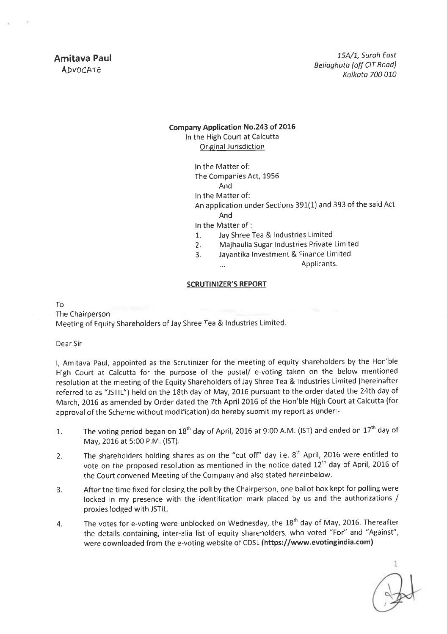## company Application No.243 of 2016

In the High Court at Calcutta Original Jurisdiction

> ln the Matter of: The Companies Act, 1956 And

ln the Matter of:

An apolication under Sections 391(1) and 393 of the said Act And

ln the Matter of :

 $\dddot{\phantom{0}}$ 

- 1. Jay Shree Tea & Industries Limited
- 2. Majhaulia Sugar Industries Private Limited<br>3. **Jayantika Investment & Finance Limited**<br>Applicants.

## SCRUTINIZER'5 REPORT

To The Chairoerson Meeting of Equity Shareholders of Jay Shree Tea & Industries Limited.

Dear Sir

l, Amitava Paul, appointed as the Scrutinizer for the meeting of equity shareholders by the Hon'ble High Court at Calcutta for the purpose of the postal/ e-voting taken on the below mentioned resolution at the meeting of the Equity Shareholders of Jay Shree Tea & Industries Limited (hereinafter referred to as "JSTIL") held on the 18th day of May, 2016 pursuant to the order dated the 24th day of March, 2016 as amended by Order dated the 7th April 2016 of the Hon'ble High Court at Calcutta (for approval of the Scheme without modification) do hereby submit my report as under:-

- 1. The voting period began on  $18<sup>th</sup>$  day of April, 2016 at 9:00 A.M. (IST) and ended on  $17<sup>th</sup>$  day of May,2016 at 5:00 P.M. (lST).
- 2. The shareholders holding shares as on the "cut off" day i.e.  $8<sup>th</sup>$  April, 2016 were entitled to vote on the proposed resolution as mentioned in the notice dated  $12<sup>th</sup>$  day of April, 2016 of the Court convened Meeting of the Company and also stated hereinbelow.
- 3. After the time fixed for closing the poll by the Chairperson, one ballot box kept for polling were locked in my presence with the identification mark placed by us and the authorizations / proxies lodged with JSTIL.
- 4. The votes for e-voting were unblocked on Wednesday, the 18<sup>th</sup> day of May, 2016. Thereafter the details containing, inter-alia list of equity shareholders, who voted "For'' and "Against", were downloaded from the e-voting website of cDsL (https://www.evotingindia.com)

đ.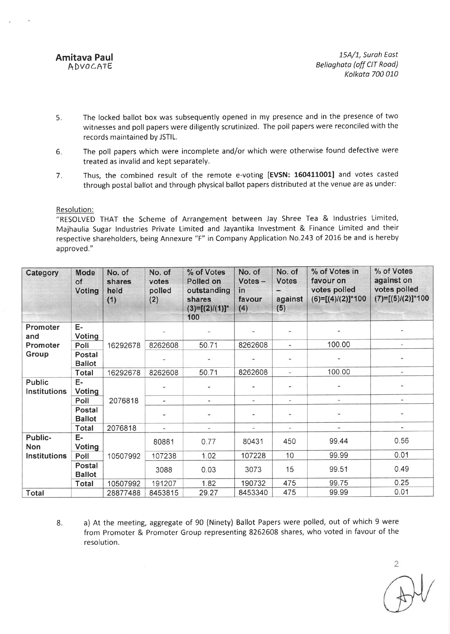Amitava Paul ADVOCATE

15A/1, Surah East Belioghota (off CIT Road) Kolkata 700 010

- 5 The locked ballot box was subsequently opened in my presence and in the presence of two witnesses and poll papers were diligently scrutinized. The poll papers were reconciled with the records maintained by JSTIL.
- 6 The poll papers which were incomplete and/or which were otherwise found defective were treated as invalid and kept separately.
- Thus, the combined result of the remote e-voting [EVSN: 160411001] and votes casted through postal ballot and through physical ballot papers distributed at the venue are as under: 7

Resolution:

"RESOLVED THAT the Scheme of Arrangement between Jay Shree Tea & Industries Limited, Majhaulia Sugar Industries Private Limited and Jayantika Investment & Finance Limited and their respective shareholders, being Annexure "F" in Company Application No.243 of 2016 be and is hereby approved,"

| Category                             | Mode<br>of<br><b>Voting</b>    | No. of<br>shares<br>held<br>(1)          | No. of<br>votes<br>polled<br>(2) | % of Votes<br>Polled on<br>outstanding<br>shares<br>$(3)=[(2)/(1)]^*$<br>100 | No. of<br>Votes -<br>in<br>favour<br>(4) | No. of<br><b>Votes</b><br>against<br>(5) | % of Votes in<br>favour on<br>votes polled<br>$(6)=[(4)/(2)]$ *100 | % of Votes<br>against on<br>votes polled<br>$(7)=[(5)/(2)]*100$ |
|--------------------------------------|--------------------------------|------------------------------------------|----------------------------------|------------------------------------------------------------------------------|------------------------------------------|------------------------------------------|--------------------------------------------------------------------|-----------------------------------------------------------------|
| Promoter<br>and                      | E-<br>Voting                   |                                          |                                  |                                                                              |                                          |                                          |                                                                    |                                                                 |
| Promoter                             | Poll                           | 16292678                                 | 8262608                          | 50.71                                                                        | 8262608                                  | $\overline{\phantom{a}}$                 | 100.00                                                             |                                                                 |
| Group                                | <b>Postal</b><br><b>Ballot</b> |                                          |                                  |                                                                              |                                          | $\overline{\phantom{a}}$                 |                                                                    |                                                                 |
|                                      | <b>Total</b>                   | 16292678                                 | 8262608                          | 50.71                                                                        | 8262608                                  | $\overline{\phantom{a}}$                 | 100.00                                                             | ÷                                                               |
| <b>Public</b><br><b>Institutions</b> | E-<br>Voting                   |                                          |                                  |                                                                              |                                          |                                          |                                                                    |                                                                 |
|                                      | Poll                           | 2076818<br>÷<br>$\overline{\phantom{a}}$ |                                  |                                                                              | $\blacksquare$<br>$\sim$                 |                                          | $\blacksquare$                                                     | $\overline{\phantom{a}}$                                        |
|                                      | Postal<br><b>Ballot</b>        |                                          |                                  |                                                                              | $\overline{ }$                           | $\overline{\phantom{a}}$                 |                                                                    |                                                                 |
|                                      | <b>Total</b>                   | 2076818                                  | $\overline{\phantom{a}}$         | $\overline{\phantom{0}}$                                                     | $\frac{1}{2}$                            | $\overline{\phantom{m}}$                 | u                                                                  |                                                                 |
| Public-<br><b>Non</b>                | E-<br><b>Voting</b>            |                                          | 80881                            | 0.77                                                                         | 80431                                    | 450                                      | 99.44                                                              | 0.56                                                            |
| <b>Institutions</b>                  | Poll                           | 10507992                                 | 107238                           | 1.02                                                                         | 107228                                   | 10                                       | 99.99                                                              | 0.01                                                            |
|                                      | Postal<br><b>Ballot</b>        |                                          | 3088                             | 0.03                                                                         | 3073                                     | 15                                       | 99.51                                                              | 0.49                                                            |
|                                      | Total                          | 10507992                                 | 191207                           | 1.82                                                                         | 190732                                   | 475                                      | 99.75                                                              | 0.25                                                            |
| <b>Total</b>                         |                                | 28877488                                 | 8453815                          | 29.27                                                                        | 8453340                                  | 475                                      | 99.99                                                              | 0.01                                                            |

8. All a) At the meeting, aggregate of 90 (Ninety) Ballot Papers were polled, out of which 9 were from Promoter & Promoter Group representing 8262608 shares, who voted in favour of the resolution.

 $\overline{2}$